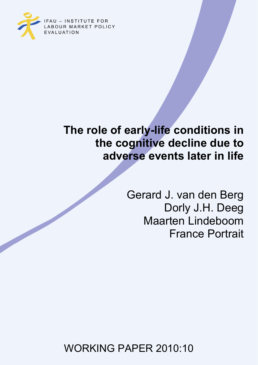

# **The role of early-life conditions in the cognitive decline due to adverse events later in life**

Gerard J. van den Berg Dorly J.H. Deeg Maarten Lindeboom France Portrait

WORKING PAPER 2010:10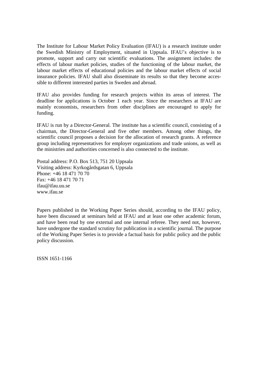The Institute for Labour Market Policy Evaluation (IFAU) is a research institute under the Swedish Ministry of Employment, situated in Uppsala. IFAU's objective is to promote, support and carry out scientific evaluations. The assignment includes: the effects of labour market policies, studies of the functioning of the labour market, the labour market effects of educational policies and the labour market effects of social insurance policies. IFAU shall also disseminate its results so that they become accessible to different interested parties in Sweden and abroad.

IFAU also provides funding for research projects within its areas of interest. The deadline for applications is October 1 each year. Since the researchers at IFAU are mainly economists, researchers from other disciplines are encouraged to apply for funding.

IFAU is run by a Director-General. The institute has a scientific council, consisting of a chairman, the Director-General and five other members. Among other things, the scientific council proposes a decision for the allocation of research grants. A reference group including representatives for employer organizations and trade unions, as well as the ministries and authorities concerned is also connected to the institute.

Postal address: P.O. Box 513, 751 20 Uppsala Visiting address: Kyrkogårdsgatan 6, Uppsala Phone: +46 18 471 70 70 Fax: +46 18 471 70 71 ifau@ifau.uu.se www.ifau.se

Papers published in the Working Paper Series should, according to the IFAU policy, have been discussed at seminars held at IFAU and at least one other academic forum, and have been read by one external and one internal referee. They need not, however, have undergone the standard scrutiny for publication in a scientific journal. The purpose of the Working Paper Series is to provide a factual basis for public policy and the public policy discussion.

ISSN 1651-1166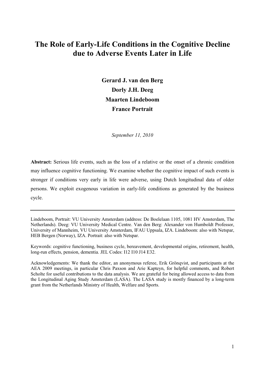## **The Role of Early-Life Conditions in the Cognitive Decline due to Adverse Events Later in Life**

**Gerard J. van den Berg Dorly J.H. Deeg Maarten Lindeboom France Portrait** 

*September 11, 2010* 

 may influence cognitive functioning. We examine whether the cognitive impact of such events is cycle. **Abstract:** Serious life events, such as the loss of a relative or the onset of a chronic condition stronger if conditions very early in life were adverse, using Dutch longitudinal data of older persons. We exploit exogenous variation in early-life conditions as generated by the business

Keywords: cognitive functioning, business cycle, bereavement, developmental origins, retirement, health, long-run effects, pension, dementia. JEL Codes: I12 I10 J14 E32.

Lindeboom, Portrait: VU University Amsterdam (address: De Boelelaan 1105, 1081 HV Amsterdam, The Netherlands). Deeg: VU University Medical Centre. Van den Berg: Alexander von Humboldt Professor, University of Mannheim, VU University Amsterdam, IFAU Uppsala, IZA. Lindeboom: also with Netspar, HEB Bergen (Norway), IZA. Portrait: also with Netspar.

Acknowledgements: We thank the editor, an anonymous referee, Erik Grönqvist, and participants at the AEA 2009 meetings, in particular Chris Paxson and Arie Kapteyn, for helpful comments, and Robert Scholte for useful contributions to the data analysis. We are grateful for being allowed access to data from the Longitudinal Aging Study Amsterdam (LASA). The LASA study is mostly financed by a long-term grant from the Netherlands Ministry of Health, Welfare and Sports.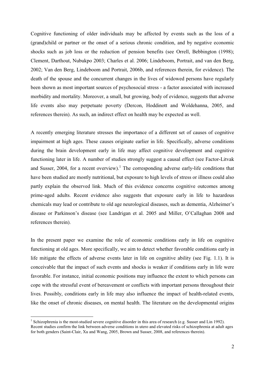Clement, Darthout, Nubukpo 2003; Charles et al. 2006; Lindeboom, Portrait, and van den Berg, Cognitive functioning of older individuals may be affected by events such as the loss of a (grand)child or partner or the onset of a serious chronic condition, and by negative economic shocks such as job loss or the reduction of pension benefits (see Orrell, Bebbington (1998); 2002; Van den Berg, Lindeboom and Portrait, 2006b, and references therein, for evidence). The death of the spouse and the concurrent changes in the lives of widowed persons have regularly been shown as most important sources of psychosocial stress - a factor associated with increased morbidity and mortality. Moreover, a small, but growing, body of evidence, suggests that adverse life events also may perpetuate poverty (Dercon, Hoddinott and Woldehanna, 2005, and references therein). As such, an indirect effect on health may be expected as well.

A recently emerging literature stresses the importance of a different set of causes of cognitive impairment at high ages. These causes originate earlier in life. Specifically, adverse conditions during the brain development early in life may affect cognitive development and cognitive functioning later in life. A number of studies strongly suggest a causal effect (see Factor-Litvak and Susser, 2004, for a recent overview).<sup>1</sup> The corresponding adverse early-life conditions that have been studied are mostly nutritional, but exposure to high levels of stress or illness could also partly explain the observed link. Much of this evidence concerns cognitive outcomes among prime-aged adults. Recent evidence also suggests that exposure early in life to hazardous chemicals may lead or contribute to old age neurological diseases, such as dementia, Alzheimer's disease or Parkinson's disease (see Landrigan et al. 2005 and Miller, O'Callaghan 2008 and references therein).

 life mitigate the effects of adverse events later in life on cognitive ability (see Fig. 1.1). It is In the present paper we examine the role of economic conditions early in life on cognitive functioning at old ages. More specifically, we aim to detect whether favorable conditions early in conceivable that the impact of such events and shocks is weaker if conditions early in life were favorable. For instance, initial economic positions may influence the extent to which persons can cope with the stressful event of bereavement or conflicts with important persons throughout their lives. Possibly, conditions early in life may also influence the impact of health-related events, like the onset of chronic diseases, on mental health. The literature on the developmental origins

 $\overline{a}$ 

<sup>&</sup>lt;sup>1</sup> Schizophrenia is the most-studied severe cognitive disorder in this area of research (e.g. Susser and Lin 1992). Recent studies confirm the link between adverse conditions in utero and elevated risks of schizophrenia at adult ages for both genders (Saint-Clair, Xu and Wang, 2005, Brown and Susser, 2008, and references therein).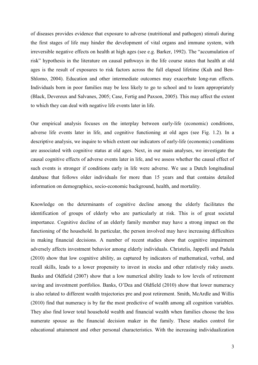to which they can deal with negative life events later in life. of diseases provides evidence that exposure to adverse (nutritional and pathogen) stimuli during the first stages of life may hinder the development of vital organs and immune system, with irreversible negative effects on health at high ages (see e.g. Barker, 1992). The "accumulation of risk" hypothesis in the literature on causal pathways in the life course states that health at old ages is the result of exposures to risk factors across the full elapsed lifetime (Kuh and Ben-Shlomo, 2004). Education and other intermediate outcomes may exacerbate long-run effects. Individuals born in poor families may be less likely to go to school and to learn appropriately (Black, Devereux and Salvanes, 2005; Case, Fertig and Paxson, 2005). This may affect the extent

information on demographics, socio-economic background, health, and mortality. Our empirical analysis focuses on the interplay between early-life (economic) conditions, adverse life events later in life, and cognitive functioning at old ages (see Fig. 1.2). In a descriptive analysis, we inquire to which extent our indicators of early-life (economic) conditions are associated with cognitive status at old ages. Next, in our main analyses, we investigate the causal cognitive effects of adverse events later in life, and we assess whether the causal effect of such events is stronger if conditions early in life were adverse. We use a Dutch longitudinal database that follows older individuals for more than 15 years and that contains detailed

 recall skills, leads to a lower propensity to invest in stocks and other relatively risky assets. Knowledge on the determinants of cognitive decline among the elderly facilitates the identification of groups of elderly who are particularly at risk. This is of great societal importance. Cognitive decline of an elderly family member may have a strong impact on the functioning of the household. In particular, the person involved may have increasing difficulties in making financial decisions. A number of recent studies show that cognitive impairment adversely affects investment behavior among elderly individuals. Christelis, Jappelli and Padula (2010) show that low cognitive ability, as captured by indicators of mathematical, verbal, and Banks and Oldfield (2007) show that a low numerical ability leads to low levels of retirement saving and investment portfolios. Banks, O'Dea and Oldfield (2010) show that lower numeracy is also related to different wealth trajectories pre and post retirement. Smith, McArdle and Willis (2010) find that numeracy is by far the most predictive of wealth among all cognition variables. They also find lower total household wealth and financial wealth when families choose the less numerate spouse as the financial decision maker in the family. These studies control for educational attainment and other personal characteristics. With the increasing individualization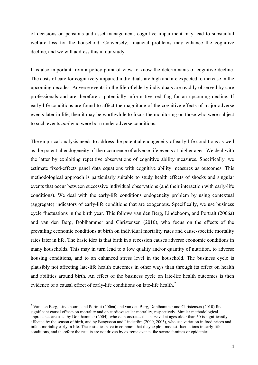of decisions on pensions and asset management, cognitive impairment may lead to substantial welfare loss for the household. Conversely, financial problems may enhance the cognitive decline, and we will address this in our study.

 upcoming decades. Adverse events in the life of elderly individuals are readily observed by care It is also important from a policy point of view to know the determinants of cognitive decline. The costs of care for cognitively impaired individuals are high and are expected to increase in the professionals and are therefore a potentially informative red flag for an upcoming decline. If early-life conditions are found to affect the magnitude of the cognitive effects of major adverse events later in life, then it may be worthwhile to focus the monitoring on those who were subject to such events *and* who were born under adverse conditions.

 the latter by exploiting repetitive observations of cognitive ability measures. Specifically, we plausibly not affecting late-life health outcomes in other ways than through its effect on health The empirical analysis needs to address the potential endogeneity of early-life conditions as well as the potential endogeneity of the occurrence of adverse life events at higher ages. We deal with estimate fixed-effects panel data equations with cognitive ability measures as outcomes. This methodological approach is particularly suitable to study health effects of shocks and singular events that occur between successive individual observations (and their interaction with early-life conditions). We deal with the early-life conditions endogeneity problem by using contextual (aggregate) indicators of early-life conditions that are exogenous. Specifically, we use business cycle fluctuations in the birth year. This follows van den Berg, Lindeboom, and Portrait (2006a) and van den Berg, Doblhammer and Christensen (2010), who focus on the effects of the prevailing economic conditions at birth on individual mortality rates and cause-specific mortality rates later in life. The basic idea is that birth in a recession causes adverse economic conditions in many households. This may in turn lead to a low quality and/or quantity of nutrition, to adverse housing conditions, and to an enhanced stress level in the household. The business cycle is and abilities around birth. An effect of the business cycle on late-life health outcomes is then evidence of a causal effect of early-life conditions on late-life health.<sup>2</sup>

 $\overline{a}$  $2$  Van den Berg, Lindeboom, and Portrait (2006a) and van den Berg, Doblhammer and Christensen (2010) find significant causal effects on mortality and on cardiovascular mortality, respectively. Similar methodological approaches are used by Doblhammer (2004), who demonstrates that survival at ages older than 50 is significantly affected by the season of birth, and by Bengtsson and Lindström (2000, 2003), who use variation in food prices and infant mortality early in life. These studies have in common that they exploit modest fluctuations in early-life conditions, and therefore the results are not driven by extreme events like severe famines or epidemics.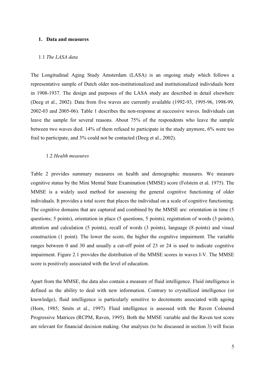### **1. Data and measures**

#### 1.1 *The LASA data*

The Longitudinal Aging Study Amsterdam (LASA) is an ongoing study which follows a representative sample of Dutch older non-institutionalized and institutionalized individuals born in 1908-1937. The design and purposes of the LASA study are described in detail elsewhere (Deeg et al., 2002). Data from five waves are currently available (1992-93, 1995-96, 1998-99, 2002-03 and 2005-06). Table 1 describes the non-response at successive waves. Individuals can leave the sample for several reasons. About 75% of the respondents who leave the sample between two waves died. 14% of them refused to participate in the study anymore, 6% were too frail to participate, and 3% could not be contacted (Deeg et al., 2002).

### 1.2 *Health measures*

Table 2 provides summary measures on health and demographic measures. We measure cognitive status by the Mini Mental State Examination (MMSE) score (Folstein et al. 1975). The MMSE is a widely used method for assessing the general cognitive functioning of older individuals. It provides a total score that places the individual on a scale of cognitive functioning. The cognitive domains that are captured and combined by the MMSE are: orientation in time (5 questions; 5 points), orientation in place (5 questions, 5 points), registration of words (3 points), attention and calculation (5 points), recall of words (3 points), language (8 points) and visual construction (1 point). The lower the score, the higher the cognitive impairment. The variable ranges between 0 and 30 and usually a cut-off point of 23 or 24 is used to indicate cognitive impairment. Figure 2.1 provides the distribution of the MMSE scores in waves I-V. The MMSE score is positively associated with the level of education.

Apart from the MMSE, the data also contain a measure of fluid intelligence. Fluid intelligence is defined as the ability to deal with new information. Contrary to crystallized intelligence (or knowledge), fluid intelligence is particularly sensitive to decrements associated with ageing (Horn, 1985; Smits et al., 1997). Fluid intelligence is assessed with the Raven Coloured Progressive Matrices (RCPM, Raven, 1995). Both the MMSE variable and the Raven test score are relevant for financial decision making. Our analyses (to be discussed in section 3) will focus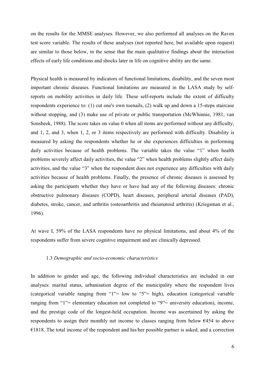on the results for the MMSE analyses. However, we also performed all analyses on the Raven test score variable. The results of these analyses (not reported here, but available upon request) are similar to those below, in the sense that the main qualitative findings about the interaction effects of early life conditions and shocks later in life on cognitive ability are the same.

Physical health is measured by indicators of functional limitations, disability, and the seven most important chronic diseases. Functional limitations are measured in the LASA study by selfreports on mobility activities in daily life. These self-reports include the extent of difficulty respondents experience to: (1) cut one's own toenails, (2) walk up and down a 15-steps staircase without stopping, and (3) make use of private or public transportation (McWhinnie, 1981; van Sonsbeek, 1988). The score takes on value 0 when all items are performed without any difficulty, and 1, 2, and 3, when 1, 2, or 3 items respectively are performed with difficulty. Disability is measured by asking the respondents whether he or she experiences difficulties in performing daily activities because of health problems. The variable takes the value "1" when health problems severely affect daily activities, the value "2" when health problems slightly affect daily activities, and the value "3" when the respondent does not experience any difficulties with daily activities because of health problems. Finally, the presence of chronic diseases is assessed by asking the participants whether they have or have had any of the following diseases: chronic obstructive pulmonary diseases (COPD), heart diseases, peripheral arterial diseases (PAD), diabetes, stroke, cancer, and arthritis (osteoarthritis and rheumatoid arthritis) (Kriegsman et al., 1996).

At wave I, 59% of the LASA respondents have no physical limitations, and about 4% of the respondents suffer from severe cognitive impairment and are clinically depressed.

### 1.3 *Demographic and socio-economic characteristics*

 and the prestige code of the longest-held occupation. Income was ascertained by asking the In addition to gender and age, the following individual characteristics are included in our analyses: marital status, urbanisation degree of the municipality where the respondent lives (categorical variable ranging from "1"= low to "5"= high), education (categorical variable ranging from "1"= elementary education not completed to "9"= university education), income, respondents to assign their monthly net income to classes ranging from below €454 to above  $€1818$ . The total income of the respondent and his/her possible partner is asked, and a correction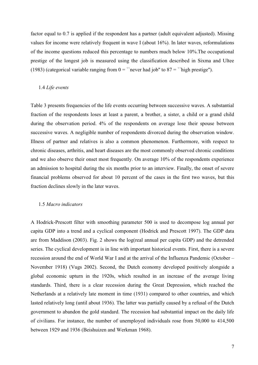factor equal to 0.7 is applied if the respondent has a partner (adult equivalent adjusted). Missing values for income were relatively frequent in wave I (about 16%). In later waves, reformulations of the income questions reduced this percentage to numbers much below 10%.The occupational prestige of the longest job is measured using the classification described in Sixma and Ultee (1983) (categorical variable ranging from  $0 =$  `never had job'' to  $87 =$  ``high prestige'').

### 1.4 *Life events*

Table 3 presents frequencies of the life events occurring between successive waves. A substantial fraction of the respondents loses at least a parent, a brother, a sister, a child or a grand child during the observation period. 4% of the respondents on average lose their spouse between successive waves. A negligible number of respondents divorced during the observation window. Illness of partner and relatives is also a common phenomenon. Furthermore, with respect to chronic diseases, arthritis, and heart diseases are the most commonly observed chronic conditions and we also observe their onset most frequently. On average 10% of the respondents experience an admission to hospital during the six months prior to an interview. Finally, the onset of severe financial problems observed for about 10 percent of the cases in the first two waves, but this fraction declines slowly in the later waves.

## 1.5 *Macro indicators*

 A Hodrick-Prescott filter with smoothing parameter 500 is used to decompose log annual per recession around the end of World War I and at the arrival of the Influenza Pandemic (October – government to abandon the gold standard. The recession had substantial impact on the daily life capita GDP into a trend and a cyclical component (Hodrick and Prescott 1997). The GDP data are from Maddison (2003). Fig. 2 shows the log(real annual per capita GDP) and the detrended series. The cyclical development is in line with important historical events. First, there is a severe November 1918) (Vugs 2002). Second, the Dutch economy developed positively alongside a global economic upturn in the 1920s, which resulted in an increase of the average living standards. Third, there is a clear recession during the Great Depression, which reached the Netherlands at a relatively late moment in time (1931) compared to other countries, and which lasted relatively long (until about 1936). The latter was partially caused by a refusal of the Dutch of civilians. For instance, the number of unemployed individuals rose from 50,000 to 414,500 between 1929 and 1936 (Beishuizen and Werkman 1968).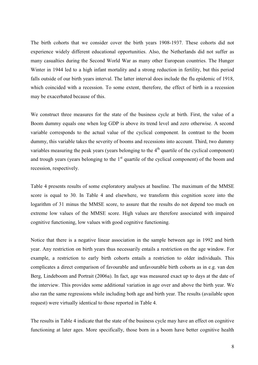The birth cohorts that we consider cover the birth years 1908-1937. These cohorts did not experience widely different educational opportunities. Also, the Netherlands did not suffer as many casualties during the Second World War as many other European countries. The Hunger Winter in 1944 led to a high infant mortality and a strong reduction in fertility, but this period falls outside of our birth years interval. The latter interval does include the flu epidemic of 1918, which coincided with a recession. To some extent, therefore, the effect of birth in a recession may be exacerbated because of this.

variables measuring the peak years (years belonging to the  $4<sup>th</sup>$  quartile of the cyclical component) recession, respectively. We construct three measures for the state of the business cycle at birth. First, the value of a Boom dummy equals one when log GDP is above its trend level and zero otherwise. A second variable corresponds to the actual value of the cyclical component. In contrast to the boom dummy, this variable takes the severity of booms and recessions into account. Third, two dummy and trough years (years belonging to the  $1<sup>st</sup>$  quartile of the cyclical component) of the boom and

Table 4 presents results of some exploratory analyses at baseline. The maximum of the MMSE score is equal to 30. In Table 4 and elsewhere, we transform this cognition score into the logarithm of 31 minus the MMSE score, to assure that the results do not depend too much on extreme low values of the MMSE score. High values are therefore associated with impaired cognitive functioning, low values with good cognitive functioning.

Notice that there is a negative linear association in the sample between age in 1992 and birth year. Any restriction on birth years thus necessarily entails a restriction on the age window. For example, a restriction to early birth cohorts entails a restriction to older individuals. This complicates a direct comparison of favourable and unfavourable birth cohorts as in e.g. van den Berg, Lindeboom and Portrait (2006a). In fact, age was measured exact up to days at the date of the interview. This provides some additional variation in age over and above the birth year. We also ran the same regressions while including both age and birth year. The results (available upon request) were virtually identical to those reported in Table 4.

 The results in Table 4 indicate that the state of the business cycle may have an effect on cognitive functioning at later ages. More specifically, those born in a boom have better cognitive health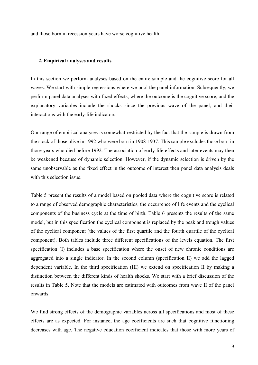and those born in recession years have worse cognitive health.

### **2. Empirical analyses and results**

 In this section we perform analyses based on the entire sample and the cognitive score for all waves. We start with simple regressions where we pool the panel information. Subsequently, we perform panel data analyses with fixed effects, where the outcome is the cognitive score, and the explanatory variables include the shocks since the previous wave of the panel, and their interactions with the early-life indicators.

with this selection issue. Our range of empirical analyses is somewhat restricted by the fact that the sample is drawn from the stock of those alive in 1992 who were born in 1908-1937. This sample excludes those born in those years who died before 1992. The association of early-life effects and later events may then be weakened because of dynamic selection. However, if the dynamic selection is driven by the same unobservable as the fixed effect in the outcome of interest then panel data analysis deals

 dependent variable. In the third specification (III) we extend on specification II by making a results in Table 5. Note that the models are estimated with outcomes from wave II of the panel Table 5 present the results of a model based on pooled data where the cognitive score is related to a range of observed demographic characteristics, the occurrence of life events and the cyclical components of the business cycle at the time of birth. Table 6 presents the results of the same model, but in this specification the cyclical component is replaced by the peak and trough values of the cyclical component (the values of the first quartile and the fourth quartile of the cyclical component). Both tables include three different specifications of the levels equation. The first specification (I) includes a base specification where the onset of new chronic conditions are aggregated into a single indicator. In the second column (specification II) we add the lagged distinction between the different kinds of health shocks. We start with a brief discussion of the onwards.

 effects are as expected. For instance, the age coefficients are such that cognitive functioning We find strong effects of the demographic variables across all specifications and most of these decreases with age. The negative education coefficient indicates that those with more years of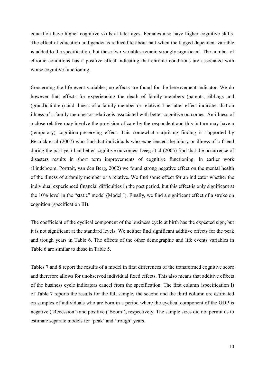education have higher cognitive skills at later ages. Females also have higher cognitive skills. The effect of education and gender is reduced to about half when the lagged dependent variable is added to the specification, but these two variables remain strongly significant. The number of chronic conditions has a positive effect indicating that chronic conditions are associated with worse cognitive functioning.

 a close relative may involve the provision of care by the respondent and this in turn may have a cognition (specification III). Concerning the life event variables, no effects are found for the bereavement indicator. We do however find effects for experiencing the death of family members (parents, siblings and (grand)children) and illness of a family member or relative. The latter effect indicates that an illness of a family member or relative is associated with better cognitive outcomes. An illness of (temporary) cognition-preserving effect. This somewhat surprising finding is supported by Resnick et al (2007) who find that individuals who experienced the injury or illness of a friend during the past year had better cognitive outcomes. Deeg at al (2005) find that the occurrence of disasters results in short term improvements of cognitive functioning. In earlier work (Lindeboom, Portrait, van den Berg, 2002) we found strong negative effect on the mental health of the illness of a family member or a relative. We find some effect for an indicator whether the individual experienced financial difficulties in the past period, but this effect is only significant at the 10% level in the "static" model (Model I). Finally, we find a significant effect of a stroke on

The coefficient of the cyclical component of the business cycle at birth has the expected sign, but it is not significant at the standard levels. We neither find significant additive effects for the peak and trough years in Table 6. The effects of the other demographic and life events variables in Table 6 are similar to those in Table 5.

Tables 7 and 8 report the results of a model in first differences of the transformed cognitive score and therefore allows for unobserved individual fixed effects. This also means that additive effects of the business cycle indicators cancel from the specification. The first column (specification I) of Table 7 reports the results for the full sample, the second and the third column are estimated on samples of individuals who are born in a period where the cyclical component of the GDP is negative ('Recession') and positive ('Boom'), respectively. The sample sizes did not permit us to estimate separate models for 'peak' and 'trough' years.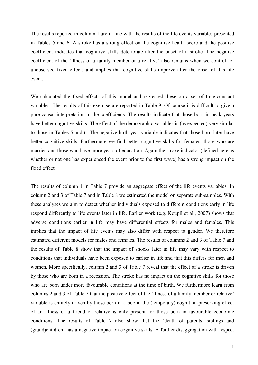event. The results reported in column 1 are in line with the results of the life events variables presented in Tables 5 and 6. A stroke has a strong effect on the cognitive health score and the positive coefficient indicates that cognitive skills deteriorate after the onset of a stroke. The negative coefficient of the 'illness of a family member or a relative' also remains when we control for unobserved fixed effects and implies that cognitive skills improve after the onset of this life

We calculated the fixed effects of this model and regressed these on a set of time-constant variables. The results of this exercise are reported in Table 9. Of course it is difficult to give a pure causal interpretation to the coefficients. The results indicate that those born in peak years have better cognitive skills. The effect of the demographic variables is (as expected) very similar to those in Tables 5 and 6. The negative birth year variable indicates that those born later have better cognitive skills. Furthermore we find better cognitive skills for females, those who are married and those who have more years of education. Again the stroke indicator (defined here as whether or not one has experienced the event prior to the first wave) has a strong impact on the fixed effect.

 implies that the impact of life events may also differ with respect to gender. We therefore The results of column 1 in Table 7 provide an aggregate effect of the life events variables. In column 2 and 3 of Table 7 and in Table 8 we estimated the model on separate sub-samples. With these analyses we aim to detect whether individuals exposed to different conditions early in life respond differently to life events later in life. Earlier work (e.g. Koupil et al., 2007) shows that adverse conditions earlier in life may have differential effects for males and females. This estimated different models for males and females. The results of columns 2 and 3 of Table 7 and the results of Table 8 show that the impact of shocks later in life may vary with respect to conditions that individuals have been exposed to earlier in life and that this differs for men and women. More specifically, column 2 and 3 of Table 7 reveal that the effect of a stroke is driven by those who are born in a recession. The stroke has no impact on the cognitive skills for those who are born under more favourable conditions at the time of birth. We furthermore learn from columns 2 and 3 of Table 7 that the positive effect of the 'illness of a family member or relative' variable is entirely driven by those born in a boom: the (temporary) cognition-preserving effect of an illness of a friend or relative is only present for those born in favourable economic conditions. The results of Table 7 also show that the 'death of parents, siblings and (grand)children' has a negative impact on cognitive skills. A further disaggregation with respect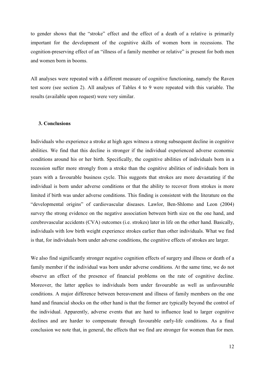to gender shows that the "stroke" effect and the effect of a death of a relative is primarily important for the development of the cognitive skills of women born in recessions. The cognition-preserving effect of an "illness of a family member or relative" is present for both men and women born in booms.

All analyses were repeated with a different measure of cognitive functioning, namely the Raven test score (see section 2). All analyses of Tables 4 to 9 were repeated with this variable. The results (available upon request) were very similar.

## **3. Conclusions**

 survey the strong evidence on the negative association between birth size on the one hand, and Individuals who experience a stroke at high ages witness a strong subsequent decline in cognitive abilities. We find that this decline is stronger if the individual experienced adverse economic conditions around his or her birth. Specifically, the cognitive abilities of individuals born in a recession suffer more strongly from a stroke than the cognitive abilities of individuals born in years with a favourable business cycle. This suggests that strokes are more devastating if the individual is born under adverse conditions or that the ability to recover from strokes is more limited if birth was under adverse conditions. This finding is consistent with the literature on the "developmental origins" of cardiovascular diseases. Lawlor, Ben-Shlomo and Leon (2004) cerebrovascular accidents (CVA) outcomes (i.e. strokes) later in life on the other hand. Basically, individuals with low birth weight experience strokes earlier than other individuals. What we find is that, for individuals born under adverse conditions, the cognitive effects of strokes are larger.

 observe an effect of the presence of financial problems on the rate of cognitive decline. the individual. Apparently, adverse events that are hard to influence lead to larger cognitive We also find significantly stronger negative cognition effects of surgery and illness or death of a family member if the individual was born under adverse conditions. At the same time, we do not Moreover, the latter applies to individuals born under favourable as well as unfavourable conditions. A major difference between bereavement and illness of family members on the one hand and financial shocks on the other hand is that the former are typically beyond the control of declines and are harder to compensate through favourable early-life conditions. As a final conclusion we note that, in general, the effects that we find are stronger for women than for men.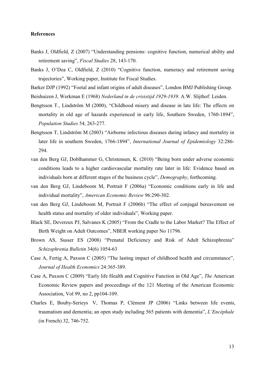## **References**

- Banks J, Oldfield, Z (2007) "Understanding pensions: cognitive function, numerical ability and retirement saving", *Fiscal Studies* 28, 143-170.
- Banks J, O'Dea C, Oldfield, Z (2010) "Cognitive function, numeracy and retirement saving trajectories", Working paper, Institute for Fiscal Studies.
- Barker DJP (1992) "Foetal and infant origins of adult diseases", London BMJ Publishing Group.
- Beishuizen J, Werkman E (1968) *Nederland in de crisistijd 1929-1939*. A.W. Slijthof: Leiden.
- Bengtsson T., Lindström M (2000), "Childhood misery and disease in late life: The effects on mortality in old age of hazards experienced in early life, Southern Sweden, 1760-1894", *Population Studies* 54, 263-277.
- Bengtsson T, Lindström M (2003) "Airborne infectious diseases during infancy and mortality in later life in southern Sweden, 1766-1894", *International Journal of Epidemiology* 32:286 294.
- van den Berg GJ, Doblhammer G, Christensen, K. (2010) "Being born under adverse economic conditions leads to a higher cardiovascular mortality rate later in life: Evidence based on individuals born at different stages of the business cycle", *Demography*, forthcoming.
- van den Berg GJ, Lindeboom M, Portrait F (2006a) "Economic conditions early in life and individual mortality", *American Economic Review* 96:290-302.
- van den Berg GJ, Lindeboom M, Portrait F (2006b) "The effect of conjugal bereavement on health status and mortality of older individuals", Working paper.
- Black SE, Devereux PJ, Salvanes K (2005) "From the Cradle to the Labor Market? The Effect of Birth Weight on Adult Outcomes", NBER working paper No 11796.
- Brown AS, Susser ES (2008) "Prenatal Deficiency and Risk of Adult Schizophrenia" *Schizophrenia Bulletin* 34(6) 1054-63
- Case A, Fertig A, Paxson C (2005) "The lasting impact of childhood health and circumstance", *Journal of Health Economics* 24:365-389.
- Case A, Paxson C (2009) "Early life Health and Cognitive Function in Old Age", *The* American Economic Review papers and proceedings of the 121 Meeting of the American Economic Association, Vol 99, no 2, pp104-109.
- Charles E, Bouby-Serieys V, Thomas P, Clément JP (2006) "Links between life events, traumatism and dementia; an open study including 565 patients with dementia", *L'Encéphale*  (in French) 32, 746-752.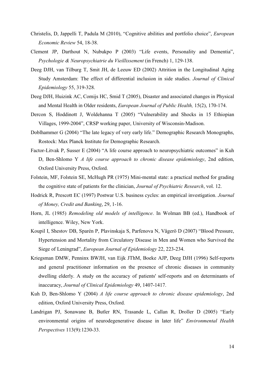- Christelis, D, Jappelli T, Padula M (2010), "Cognitive abilities and portfolio choice", *European Economic Review* 54, 18-38.
- Clement JP, Darthout N, Nubukpo P (2003) "Life events, Personality and Dementia", *Psychologie & Neuropsychiatrie du Vieillissement* (in French) 1, 129-138.
- Deeg DJH, van Tilburg T, Smit JH, de Leeuw ED (2002) Attrition in the Longitudinal Aging Study Amsterdam: The effect of differential inclusion in side studies. *Journal of Clinical Epidemiology* 55, 319-328.
- Deeg DJH, Huizink AC, Comijs HC, Smid T (2005), Disaster and associated changes in Physical and Mental Health in Older residents, *European Journal of Public Health,* 15(2), 170-174.
- Dercon S, Hoddinott J, Woldehanna T (2005) "Vulnerability and Shocks in 15 Ethiopian Villages, 1999-2004", CRSP working paper, University of Wisconsin-Madison.
- Doblhammer G (2004) "The late legacy of very early life." Demographic Research Monographs, Rostock: Max Planck Institute for Demographic Research.
- Factor-Litvak P, Susser E (2004) "A life course approach to neuropsychiatric outcomes" in Kuh D, Ben-Shlomo Y *A life course approach to chronic disease epidemiology*, 2nd edition, Oxford University Press, Oxford.
- Folstein, MF, Folstein SE, McHugh PR (1975) Mini-mental state: a practical method for grading the cognitive state of patients for the clinician, *Journal of Psychiatric Research*, vol. 12.
- Hodrick R, Prescott EC (1997) Postwar U.S. business cycles: an empirical investigation. *Journal of Money, Credit and Banking*, 29, 1-16.
- Horn, JL (1985) *Remodeling old models of intelligence*. In Wolman BB (ed.), Handbook of intelligence. Wiley, New York.
- Koupil I, Shestov DB, Sparén P, Plavinskaja S, Parfenova N, Vågerö D (2007) "Blood Pressure, Hypertension and Mortality from Circulatory Disease in Men and Women who Survived the Siege of Leningrad", *European Journal of Epidemiology* 22, 223-234.
- Kriegsman DMW, Penninx BWJH, van Eijk JThM, Boeke AJP, Deeg DJH (1996) Self-reports and general practitioner information on the presence of chronic diseases in community dwelling elderly. A study on the accuracy of patients' self-reports and on determinants of inaccuracy, *Journal of Clinical Epidemiology* 49, 1407-1417.
- Kuh D, Ben-Shlomo Y (2004) *A life course approach to chronic disease epidemiology*, 2nd edition, Oxford University Press, Oxford.
- Landrigan PJ, Sonawane B, Butler RN, Trasande L, Callan R, Droller D (2005) "Early environmental origins of neurodegenerative disease in later life" *Environmental Health Perspectives* 113(9):1230-33.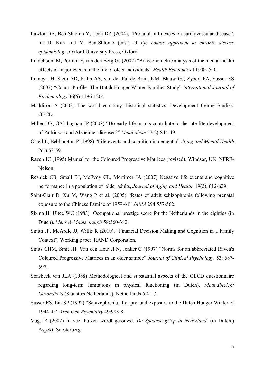- Lawlor DA, Ben-Shlomo Y, Leon DA (2004), "Pre-adult influences on cardiovascular disease", in: D. Kuh and Y. Ben-Shlomo (eds.), *A life course approach to chronic disease epidemiology*, Oxford University Press, Oxford.
- Lindeboom M, Portrait F, van den Berg GJ (2002) "An econometric analysis of the mental-health effects of major events in the life of older individuals" *Health Economics* 11:505-520.
- Lumey LH, Stein AD, Kahn AS, van der Pal-de Bruin KM, Blauw GJ, Zybert PA, Susser ES (2007) "Cohort Profile: The Dutch Hunger Winter Families Study" *International Journal of Epidemiology* 36(6):1196-1204.
- Maddison A (2003) The world economy: historical statistics. Development Centre Studies: OECD.
- Miller DB, O'Callaghan JP (2008) "Do early-life insults contribute to the late-life development of Parkinson and Alzheimer diseases?" *Metabolism* 57(2):S44-49.
- Orrell L, Bebbington P (1998) "Life events and cognition in dementia" *Aging and Mental Health*   $2(1):$ 53-59.
- Raven JC (1995) Manual for the Coloured Progressive Matrices (revised). Windsor, UK: NFRE-Nelson.
- Resnick CB, Small BJ, McEvoy CL, Mortimer JA (2007) Negative life events and cognitive performance in a population of older adults, *Journal of Aging and Health*, 19(2), 612-629.
- Saint-Clair D, Xu M, Wang P et al. (2005) "Rates of adult schizophrenia following prenatal exposure to the Chinese Famine of 1959-61" *JAMA* 294:557-562.
- Sixma H, Ultee WC (1983) Occupational prestige score for the Netherlands in the eighties (in Dutch). *Mens & Maatschappij* 58:360-382.
- Smith JP, McArdle JJ, Willis R (2010), "Financial Decision Making and Cognition in a Family Context", Working paper, RAND Corporation.
- Smits CHM, Smit JH, Van den Heuvel N, Jonker C (1997) "Norms for an abbreviated Raven's Coloured Progressive Matrices in an older sample" *Journal of Clinical Psychology,* 53: 687 697.
- Sonsbeek van JLA (1988) Methodological and substantial aspects of the OECD questionnaire regarding long-term limitations in physical functioning (in Dutch). *Maandbericht Gezondheid* (Statistics Netherlands), Netherlands 6:4-17.
- Susser ES, Lin SP (1992) "Schizophrenia after prenatal exposure to the Dutch Hunger Winter of 1944-45" *Arch Gen Psychiatry* 49:983-8.
- Aspekt: Soesterberg. Vugs R (2002) In veel huizen wordt gerouwd. *De Spaanse griep in Nederland*. (in Dutch.) Aspekt: Soesterberg.<br>
15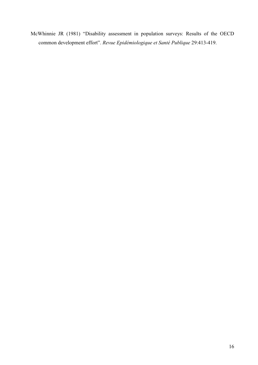McWhinnie JR (1981) "Disability assessment in population surveys: Results of the OECD common development effort". *Revue Epidémiologique et Santé Publique* 29:413-419.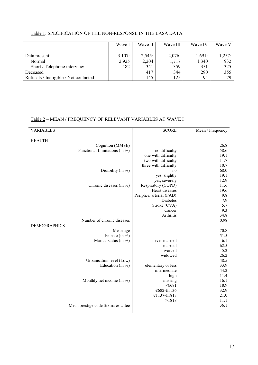|                                       | Wave I | Wave II | Wave III | Wave IV | Wave V |
|---------------------------------------|--------|---------|----------|---------|--------|
|                                       |        |         |          |         |        |
| Data present:                         | 3,107: | 2,545:  | 2,076:   | 1,691:  | 1,257: |
| Normal                                | 2,925  | 2,204   | 1,717    | 1,340   | 932    |
| Short / Telephone interview           | 182    | 341     | 359      | 351     | 325    |
| Deceased                              |        | 417     | 344      | 290     | 355    |
| Refusals / Ineligible / Not contacted |        | 145     | 125      | 95      | 79     |

## Table 1: SPECIFICATION OF THE NON-RESPONSE IN THE LASA DATA

## Table 2 – MEAN / FREQUENCY OF RELEVANT VARIABLES AT WAVE I

| <b>VARIABLES</b>    |                                  | <b>SCORE</b>             | Mean / Frequency |
|---------------------|----------------------------------|--------------------------|------------------|
| <b>HEALTH</b>       |                                  |                          |                  |
|                     | Cognition (MMSE)                 |                          | 26.8             |
|                     | Functional Limitations (in %)    | no difficulty            | 58.6             |
|                     |                                  | one with difficulty      | 19.1             |
|                     |                                  | two with difficulty      | 11.7             |
|                     |                                  | three with difficulty    | 10.7             |
|                     | Disability (in $\%$ )            | no                       | 68.0             |
|                     |                                  | yes, slightly            | 19.1             |
|                     |                                  | yes, severely            | 12.9             |
|                     | Chronic diseases (in %)          | Respiratory (COPD)       | 11.6             |
|                     |                                  | Heart diseases           | 19.6             |
|                     |                                  | Peripher. arterial (PAD) | 9.8              |
|                     |                                  | <b>Diabetes</b>          | 7.9              |
|                     |                                  | Stroke (CVA)             | 5.7              |
|                     |                                  | Cancer                   | 9.3              |
|                     |                                  | Arthritis                | 34.8             |
|                     | Number of chronic diseases       |                          | 0.98             |
| <b>DEMOGRAPHICS</b> |                                  |                          |                  |
|                     | Mean age<br>Female (in $\%$ )    |                          | 70.8<br>51.5     |
|                     | Marital status (in %)            | never married            | 6.1              |
|                     |                                  | married                  | 62.5             |
|                     |                                  | divorced                 | 5.2              |
|                     |                                  | widowed                  | 26.2             |
|                     | Urbanisation level (Low)         |                          | 48.5             |
|                     | Education (in $\%$ )             | elementary or less       | 33.9             |
|                     |                                  | intermediate             | 44.2             |
|                     |                                  | high                     | 11.4             |
|                     | Monthly net income (in $\%$ )    | missing                  | 16.1             |
|                     |                                  | $<\epsilon$ 681          | 18.9             |
|                     |                                  | €682-€1136               | 32.9             |
|                     |                                  | €1137-€1818              | 21.0             |
|                     |                                  | >1818                    | 11.1             |
|                     | Mean prestige code Sixma & Ultee |                          | 36.1             |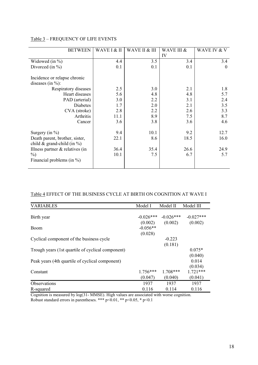## Table 3 – FREQUENCY OF LIFE EVENTS

| <b>BETWEEN</b>                                                  | WAVE I & II | WAVE II & III | WAVE III & | WAVE IV & V |
|-----------------------------------------------------------------|-------------|---------------|------------|-------------|
|                                                                 |             |               | IV         |             |
| Widowed (in $\%$ )                                              | 4.4         | 3.5           | 3.4        | 3.4         |
| Divorced (in $\%$ )                                             | 0.1         | 0.1           | 0.1        | $\theta$    |
| Incidence or relapse chronic<br>diseases (in $\%$ ):            |             |               |            |             |
| Respiratory diseases                                            | 2.5         | 3.0           | 2.1        | 1.8         |
| Heart diseases                                                  | 5.6         | 4.8           | 4.8        | 5.7         |
| PAD (arterial)                                                  | 3.0         | 2.2           | 3.1        | 2.4         |
| Diabetes                                                        | 1.7         | 2.0           | 2.1        | 3.5         |
| CVA (stroke)                                                    | 2.8         | 2.2           | 2.6        | 3.3         |
| Arthritis                                                       | 11.1        | 8.9           | 7.5        | 8.7         |
| Cancer                                                          | 3.6         | 3.8           | 3.6        | 4.6         |
| Surgery (in $\%$ )                                              | 9.4         | 10.1          | 9.2        | 12.7        |
| Death parent, brother, sister,<br>child $\&$ grand-child (in %) | 22.1        | 8.6           | 18.5       | 16.0        |
| Illness partner $&$ relatives (in                               | 36.4        | 35.4          | 26.6       | 24.9        |
| $\%$ )                                                          | 10.1        | 7.5           | 6.7        | 5.7         |
| Financial problems (in $\%$ )                                   |             |               |            |             |

## Table 4 EFFECT OF THE BUSINESS CYCLE AT BIRTH ON COGNITION AT WAVE I

| <b>VARIABLES</b>                                  | Model I      | Model II    | Model III   |
|---------------------------------------------------|--------------|-------------|-------------|
|                                                   |              |             |             |
| Birth year                                        | $-0.026$ *** | $-0.026***$ | $-0.027***$ |
|                                                   | (0.002)      | (0.002)     | (0.002)     |
| Boom                                              | $-0.056**$   |             |             |
|                                                   | (0.028)      |             |             |
| Cyclical component of the business cycle          |              | $-0.223$    |             |
|                                                   |              | (0.181)     |             |
| Trough years (1st quartile of cyclical component) |              |             | $0.075*$    |
|                                                   |              |             | (0.040)     |
| Peak years (4th quartile of cyclical component)   |              |             | 0.014       |
|                                                   |              |             | (0.034)     |
| Constant                                          | $1.756***$   | $1.708***$  | $1.721***$  |
|                                                   | (0.047)      | (0.040)     | (0.041)     |
| <b>Observations</b>                               | 1937         | 1937        | 1937        |
| R-squared                                         | 0.116        | 0.114       | 0.116       |

Cognition is measured by log(31- MMSE). High values are associated with worse cognition. Robust standard errors in parentheses. \*\*\* p<0.01, \*\* p<0.05, \* p<0.1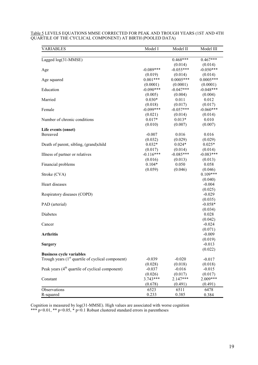| VARIABLES                                           | Model I     | Model II    | Model III   |
|-----------------------------------------------------|-------------|-------------|-------------|
| Lagged log(31-MMSE)                                 |             | $0.468***$  | $0.467***$  |
|                                                     |             | (0.014)     | (0.014)     |
| Age                                                 | $-0.089***$ | $-0.055***$ | $-0.050***$ |
|                                                     | (0.019)     | (0.014)     | (0.014)     |
| Age squared                                         | $0.001***$  | $0.0005***$ | $0.0005***$ |
|                                                     | (0.0001)    | (0.0001)    | (0.0001)    |
| Education                                           | $-0.090***$ | $-0.047***$ | $-0.048***$ |
|                                                     | (0.005)     | (0.004)     | (0.004)     |
| Married                                             | $0.030*$    | 0.011       | 0.012       |
|                                                     | (0.018)     | (0.017)     | (0.017)     |
| Female                                              | $-0.099***$ | $-0.057***$ | $-0.060***$ |
|                                                     | (0.021)     | (0.014)     | (0.014)     |
| Number of chronic conditions                        | $0.017*$    | $0.013*$    | 0.010       |
|                                                     | (0.010)     | (0.007)     | (0.007)     |
| Life events (onset)                                 |             |             |             |
| Bereaved                                            | $-0.007$    | 0.016       | 0.016       |
|                                                     | (0.032)     | (0.029)     | (0.029)     |
| Death of parent, sibling, (grand)child              | $0.032*$    | $0.024*$    | $0.025*$    |
|                                                     | (0.017)     | (0.014)     | (0.014)     |
| Illness of partner or relatives                     | $-0.116***$ | $-0.085***$ | $-0.083***$ |
|                                                     | (0.016)     | (0.013)     | (0.013)     |
| Financial problems                                  | $0.104*$    | 0.050       | 0.058       |
|                                                     | (0.059)     | (0.046)     | (0.046)     |
| Stroke (CVA)                                        |             |             | $0.109***$  |
|                                                     |             |             | (0.040)     |
| Heart diseases                                      |             |             | $-0.004$    |
|                                                     |             |             | (0.025)     |
| Respiratory diseases (COPD)                         |             |             | $-0.029$    |
|                                                     |             |             | (0.035)     |
| PAD (arterial)                                      |             |             | $-0.058*$   |
|                                                     |             |             | (0.034)     |
| Diabetes                                            |             |             | 0.028       |
|                                                     |             |             | (0.042)     |
| Cancer                                              |             |             | $-0.024$    |
|                                                     |             |             | (0.071)     |
| <b>Arthritis</b>                                    |             |             | $-0.009$    |
|                                                     |             |             | (0.019)     |
| <b>Surgery</b>                                      |             |             | $-0.013$    |
|                                                     |             |             | (0.022)     |
| <b>Business cycle variables</b>                     |             |             |             |
| Trough years $(1st$ quartile of cyclical component) | $-0.039$    | $-0.020$    | $-0.017$    |
|                                                     | (0.028)     | (0.018)     | (0.018)     |
| Peak years $(4th$ quartile of cyclical component)   | $-0.037$    | $-0.016$    | $-0.015$    |
|                                                     | (0.026)     | (0.017)     | (0.017)     |
| Constant                                            | 3.743***    | $2.147***$  | 2.009***    |
|                                                     | (0.678)     | (0.491)     | (0.491)     |
| Observations                                        | 6523        | 6511        | 6478        |
| R-squared                                           | 0.233       | 0.385       | 0.384       |

Table 5 LEVELS EQUATIONS MMSE CORRECTED FOR PEAK AND TROUGH YEARS (1ST AND 4TH QUARTILE OF THE CYCLICAL COMPONENT) AT BIRTH (POOLED DATA)

 Cognition is measured by log(31-MMSE). High values are associated with worse cognition \*\*\* p<0.01, \*\* p<0.05, \* p<0.1 Robust clustered standard errors in parentheses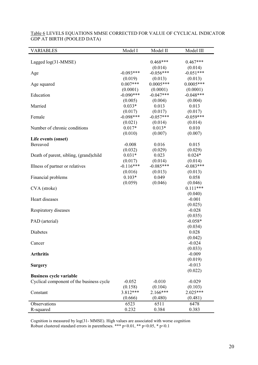| <b>VARIABLES</b>                         | Model I                | Model II               | Model III              |
|------------------------------------------|------------------------|------------------------|------------------------|
|                                          |                        |                        |                        |
| Lagged log(31-MMSE)                      |                        | $0.468***$             | $0.467***$             |
|                                          |                        | (0.014)                | (0.014)                |
| Age                                      | $-0.093***$            | $-0.056***$            | $-0.051***$            |
|                                          | (0.019)                | (0.013)                | (0.013)                |
| Age squared                              | $0.007***$             | $0.0005***$            | $0.0005***$            |
|                                          | (0.0001)               | (0.0001)               | (0.0001)               |
| Education                                | $-0.090***$            | $-0.047***$            | $-0.048***$            |
|                                          | (0.005)                | (0.004)                | (0.004)                |
| Married                                  | $0.033*$               | 0.013                  | 0.013                  |
|                                          | (0.017)<br>$-0.098***$ | (0.017)<br>$-0.057***$ | (0.017)<br>$-0.059***$ |
| Female                                   | (0.021)                | (0.014)                | (0.014)                |
| Number of chronic conditions             | $0.017*$               | $0.013*$               | 0.010                  |
|                                          | (0.010)                | (0.007)                | (0.007)                |
| Life events (onset)                      |                        |                        |                        |
| Bereaved                                 | $-0.008$               | 0.016                  | 0.015                  |
|                                          | (0.032)                | (0.029)                | (0.029)                |
| Death of parent, sibling, (grand)child   | $0.031*$               | 0.023                  | $0.024*$               |
|                                          | (0.017)                | (0.014)                | (0.014)                |
| Illness of partner or relatives          | $-0.116***$            | $-0.085***$            | $-0.083***$            |
|                                          | (0.016)                | (0.013)                | (0.013)                |
| Financial problems                       | $0.103*$               | 0.049                  | 0.058                  |
|                                          | (0.059)                | (0.046)                | (0.046)                |
| CVA (stroke)                             |                        |                        | $0.111***$             |
|                                          |                        |                        | (0.040)                |
| Heart diseases                           |                        |                        | $-0.001$               |
|                                          |                        |                        | (0.025)                |
| Respiratory diseases                     |                        |                        | $-0.028$               |
|                                          |                        |                        | (0.035)                |
| PAD (arterial)                           |                        |                        | $-0.058*$              |
|                                          |                        |                        | (0.034)                |
| Diabetes                                 |                        |                        | 0.028                  |
|                                          |                        |                        | (0.042)                |
| Cancer                                   |                        |                        | $-0.024$               |
|                                          |                        |                        | (0.033)                |
| <b>Arthritis</b>                         |                        |                        | $-0.009$               |
|                                          |                        |                        | (0.019)                |
| <b>Surgery</b>                           |                        |                        | $-0.013$               |
|                                          |                        |                        | (0.022)                |
| <b>Business cycle variable</b>           |                        |                        |                        |
| Cyclical component of the business cycle | $-0.052$               | $-0.010$               | $-0.029$               |
|                                          | (0.158)                | (0.104)                | (0.103)                |
| Constant                                 | $3.812***$             | 2.166***               | $2.025***$             |
|                                          | (0.666)                | (0.480)                | (0.481)                |
| Observations                             | 6523                   | 6511                   | 6478                   |
| R-squared                                | 0.232                  | 0.384                  | 0.383                  |

## Table 6 LEVELS EQUATIONS MMSE CORRECTED FOR VALUE OF CYCLICAL INDICATOR GDP AT BIRTH (POOLED DATA)

 Cognition is measured by log(31- MMSE). High values are associated with worse cognition Robust clustered standard errors in parentheses. \*\*\* p<0.01, \*\* p<0.05, \* p<0.1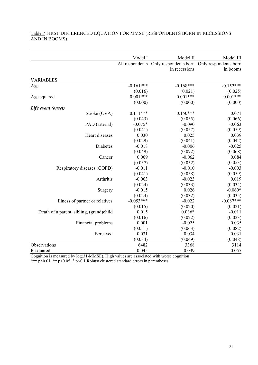|                                          | Model I     | Model II                                                    | Model III   |
|------------------------------------------|-------------|-------------------------------------------------------------|-------------|
|                                          |             | All respondents Only respondents born Only respondents born |             |
|                                          |             | in recessions                                               | in booms    |
| <b>VARIABLES</b>                         |             |                                                             |             |
| Age                                      | $-0.161***$ | $-0.168***$                                                 | $-0.152***$ |
|                                          | (0.016)     | (0.021)                                                     | (0.025)     |
| Age squared                              | $0.001***$  | $0.001***$                                                  | $0.001***$  |
|                                          | (0.000)     | (0.000)                                                     | (0.000)     |
| Life event (onset)                       |             |                                                             |             |
| Stroke (CVA)                             | $0.111***$  | $0.150***$                                                  | 0.071       |
|                                          | (0.043)     | (0.055)                                                     | (0.066)     |
| PAD (arterial)                           | $-0.075*$   | $-0.090$                                                    | $-0.063$    |
|                                          | (0.041)     | (0.057)                                                     | (0.059)     |
| Heart diseases                           | 0.030       | 0.025                                                       | 0.039       |
|                                          | (0.029)     | (0.041)                                                     | (0.042)     |
| Diabetes                                 | $-0.018$    | $-0.006$                                                    | $-0.025$    |
|                                          | (0.049)     | (0.072)                                                     | (0.068)     |
| Cancer                                   | 0.009       | $-0.062$                                                    | 0.084       |
|                                          | (0.037)     | (0.052)                                                     | (0.053)     |
| Respiratory diseases (COPD)              | $-0.011$    | $-0.010$                                                    | $-0.003$    |
|                                          | (0.041)     | (0.058)                                                     | (0.059)     |
| Arthritis                                | $-0.003$    | $-0.023$                                                    | 0.019       |
|                                          | (0.024)     | (0.033)                                                     | (0.034)     |
| Surgery                                  | $-0.015$    | 0.026                                                       | $-0.060*$   |
|                                          | (0.024)     | (0.032)                                                     | (0.035)     |
| Illness of partner or relatives          | $-0.053***$ | $-0.022$                                                    | $-0.087***$ |
|                                          | (0.015)     | (0.020)                                                     | (0.021)     |
| Death of a parent, sibling, (grand)child | 0.015       | $0.036*$                                                    | $-0.011$    |
|                                          | (0.016)     | (0.022)                                                     | (0.023)     |
| Financial problems                       | 0.001       | $-0.025$                                                    | 0.035       |
|                                          | (0.051)     | (0.063)                                                     | (0.082)     |
| Bereaved                                 | 0.031       | 0.034                                                       | 0.031       |
|                                          | (0.034)     | (0.049)                                                     | (0.048)     |
| Observations                             | 6482        | 3368                                                        | 3114        |
| R-squared                                | 0.045       | 0.039                                                       | 0.055       |

## AND IN BOOMS) Table 7 FIRST DIFFERENCED EQUATION FOR MMSE (RESPONDENTS BORN IN RECESSIONS

Cognition is measured by log(31-MMSE). High values are associated with worse cognition

\*\*\* p<0.01, \*\* p<0.05, \* p<0.1 Robust clustered standard errors in parentheses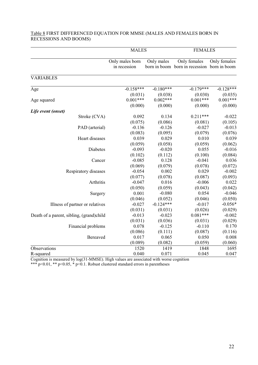|                                          | <b>MALES</b>    |             | <b>FEMALES</b>                              |              |  |
|------------------------------------------|-----------------|-------------|---------------------------------------------|--------------|--|
|                                          |                 |             |                                             |              |  |
|                                          | Only males born | Only males  | Only females                                | Only females |  |
|                                          | in recession    |             | born in boom born in recession born in boom |              |  |
| <b>VARIABLES</b>                         |                 |             |                                             |              |  |
| Age                                      | $-0.158***$     | $-0.180***$ | $-0.179***$                                 | $-0.128***$  |  |
|                                          | (0.031)         | (0.038)     | (0.030)                                     | (0.035)      |  |
| Age squared                              | $0.001***$      | $0.002***$  | $0.001***$                                  | $0.001***$   |  |
|                                          | (0.000)         | (0.000)     | (0.000)                                     | (0.000)      |  |
| Life event (onset)                       |                 |             |                                             |              |  |
| Stroke (CVA)                             | 0.092           | 0.134       | $0.211***$                                  | $-0.022$     |  |
|                                          | (0.075)         | (0.086)     | (0.081)                                     | (0.105)      |  |
| PAD (arterial)                           | $-0.136$        | $-0.126$    | $-0.027$                                    | $-0.013$     |  |
|                                          | (0.083)         | (0.095)     | (0.079)                                     | (0.076)      |  |
| Heart diseases                           | 0.039           | 0.029       | 0.010                                       | 0.039        |  |
|                                          | (0.059)         | (0.058)     | (0.059)                                     | (0.062)      |  |
| Diabetes                                 | $-0.093$        | $-0.020$    | 0.055                                       | $-0.016$     |  |
|                                          | (0.102)         | (0.112)     | (0.100)                                     | (0.084)      |  |
| Cancer                                   | $-0.085$        | 0.128       | $-0.041$                                    | 0.036        |  |
|                                          | (0.069)         | (0.079)     | (0.078)                                     | (0.072)      |  |
| Respiratory diseases                     | $-0.054$        | 0.002       | 0.029                                       | $-0.002$     |  |
|                                          | (0.077)         | (0.078)     | (0.087)                                     | (0.093)      |  |
| Arthritis                                | $-0.047$        | 0.016       | $-0.006$                                    | 0.022        |  |
|                                          | (0.050)         | (0.059)     | (0.043)                                     | (0.042)      |  |
| Surgery                                  | 0.001           | $-0.080$    | 0.054                                       | $-0.046$     |  |
|                                          | (0.046)         | (0.052)     | (0.046)                                     | (0.050)      |  |
| Illness of partner or relatives          | $-0.027$        | $-0.124***$ | $-0.017$                                    | $-0.056*$    |  |
|                                          | (0.031)         | (0.031)     | (0.026)                                     | (0.029)      |  |
| Death of a parent, sibling, (grand)child | $-0.013$        | $-0.023$    | $0.081***$                                  | $-0.002$     |  |
|                                          | (0.031)         | (0.036)     | (0.031)                                     | (0.029)      |  |
| Financial problems                       | 0.078           | $-0.125$    | $-0.110$                                    | 0.170        |  |
|                                          | (0.086)         | (0.111)     | (0.087)                                     | (0.116)      |  |
| Bereaved                                 | 0.017           | 0.065       | 0.050                                       | 0.008        |  |
|                                          | (0.089)         | (0.082)     | (0.059)                                     | (0.060)      |  |
| Observations                             | 1520            | 1419        | 1848                                        | 1695         |  |
| R-squared                                | 0.040           | 0.071       | 0.045                                       | 0.047        |  |

## Table 8 FIRST DIFFERENCED EQUATION FOR MMSE (MALES AND FEMALES BORN IN

Cognition is measured by log(31-MMSE). High values are associated with worse cognition

\*\*\* p<0.01, \*\* p<0.05, \* p<0.1. Robust clustered standard errors in parentheses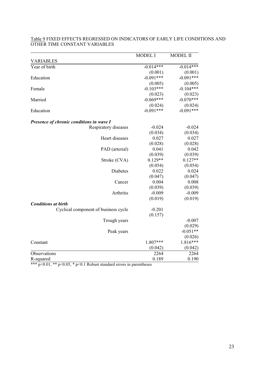|                                          | <b>MODEL I</b> | <b>MODEL II</b> |
|------------------------------------------|----------------|-----------------|
| <b>VARIABLES</b>                         |                |                 |
| Year of birth                            | $-0.014***$    | $-0.014***$     |
|                                          | (0.001)        | (0.001)         |
| Education                                | $-0.091***$    | $-0.091***$     |
|                                          | (0.005)        | (0.005)         |
| Female                                   | $-0.103***$    | $-0.104***$     |
|                                          | (0.023)        | (0.023)         |
| Married                                  | $-0.069***$    | $-0.070***$     |
|                                          | (0.024)        | (0.024)         |
| Education                                | $-0.091***$    | $-0.091***$     |
| Presence of chronic conditions in wave I |                |                 |
| Respiratory diseases                     | $-0.024$       | $-0.024$        |
|                                          | (0.034)        | (0.034)         |
| Heart diseases                           | 0.027          | 0.027           |
|                                          | (0.028)        | (0.028)         |
| PAD (arterial)                           | 0.041          | 0.042           |
|                                          | (0.039)        | (0.039)         |
| Stroke (CVA)                             | $0.129**$      | $0.127**$       |
|                                          | (0.054)        | (0.054)         |
| <b>Diabetes</b>                          | 0.022          | 0.024           |
|                                          | (0.047)        | (0.047)         |
| Cancer                                   | 0.004          | 0.008           |
|                                          | (0.039)        | (0.039)         |
| Arthritis                                | $-0.009$       | $-0.009$        |
|                                          | (0.019)        | (0.019)         |
| <b>Conditions at birth</b>               |                |                 |
| Cyclical component of business cycle     | $-0.201$       |                 |
|                                          | (0.157)        |                 |
| Trough years                             |                | $-0.007$        |
|                                          |                | (0.029)         |
| Peak years                               |                | $-0.051**$      |
|                                          |                | (0.026)         |
| Constant                                 | 1.807***       | $1.816***$      |
|                                          | (0.042)        | (0.042)         |
| Observations                             | 2264           | 2264            |
| R-squared                                | 0.189          | 0.190           |

## Table 9 FIXED EFFECTS REGRESSED ON INDICATORS OF EARLY LIFE CONDITIONS AND OTHER TIME CONSTANT VARIABLES

\*\*\*  $p<0.01$ , \*\*  $p<0.05$ , \*  $p<0.1$  Robust standard errors in parentheses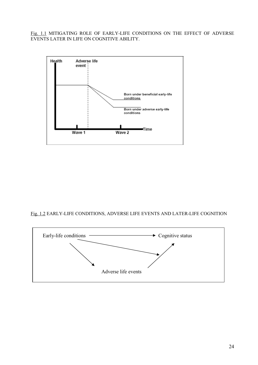Fig. 1.1 MITIGATING ROLE OF EARLY-LIFE CONDITIONS ON THE EFFECT OF ADVERSE EVENTS LATER IN LIFE ON COGNITIVE ABILITY.



Fig. 1.2 EARLY-LIFE CONDITIONS, ADVERSE LIFE EVENTS AND LATER-LIFE COGNITION

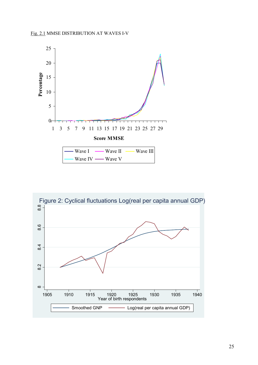

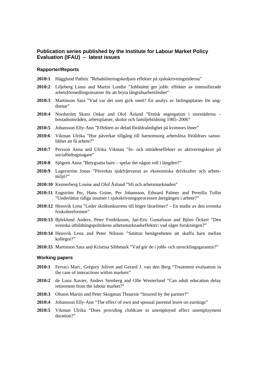## **Publication series published by the Institute for Labour Market Policy Evaluation (IFAU) – latest issues**

#### **Rapporter/Reports**

- **2010:1** Hägglund Pathric "Rehabiliteringskedjans effekter på sjukskrivningstiderna"
- **2010:2** Liljeberg Linus and Martin Lundin "Jobbnätet ger jobb: effekter av intensifierade arbetsförmedlingsinsatser för att bryta långtidsarbetslöshet"
- **2010:3** Martinson Sara "Vad var det som gick snett? En analys av lärlingsplatser för ungdomar"
- **2010:4** Nordström Skans Oskar and Olof Åslund "Etnisk segregation i storstäderna bostadsområden, arbetsplatser, skolor och familjebildning 1985–2006"
- **2010:5** Johansson Elly-Ann "Effekten av delad föräldraledighet på kvinnors löner"
- **2010:6** Vikman Ulrika "Hur påverkar tillgång till barnomsorg arbetslösa föräldrars sannolikhet att få arbete?"
- **2010:7** Persson Anna and Ulrika Vikman "In- och utträdeseffekter av aktiveringskrav på socialbidragstagare"
- **2010:8** Sjögren Anna "Betygsatta barn spelar det någon roll i längden?"
- **2010:9** Lagerström Jonas "Påverkas sjukfrånvaron av ekonomiska drivkrafter och arbetsmiljö?"
- **2010:10** Kennerberg Louise and Olof Åslund "Sfi och arbetsmarknaden"
- **2010:11** Engström Per, Hans Goine, Per Johansson, Edward Palmer and Pernilla Tollin "Underlättar tidiga insatser i sjukskrivningsprocessen återgången i arbete?"
- **2010:12** Hensvik Lena "Leder skolkonkurrens till högre lärarlöner? En studie av den svenska friskolereformen"
- **2010:13** Björklund Anders, Peter Fredriksson, Jan-Eric Gustafsson and Björn Öckert "Den svenska utbildningspolitikens arbetsmarknadseffekter: vad säger forskningen?"
- **2010:14** Hensvik Lena and Peter Nilsson "Smittar benägenheten att skaffa barn mellan kollegor?"
- **2010:15** Martinson Sara and Kristina Sibbmark "Vad gör de i jobb- och utvecklingsgarantin?"

#### **Working papers**

- **2010:1** Ferraci Marc, Grégory Jolivet and Gerard J. van den Berg "Treatment evaluation in the case of interactions within markets"
- **2010:2** de Luna Xavier, Anders Stenberg and Olle Westerlund "Can adult education delay retirement from the labour market?"
- **2010:3** Olsson Martin and Peter Skogman Thoursie "Insured by the partner?"
- **2010:4** Johansson Elly-Ann "The effect of own and spousal parental leave on earnings"
- **2010:5** Vikman Ulrika "Does providing childcare to unemployed affect unemployment duration?"